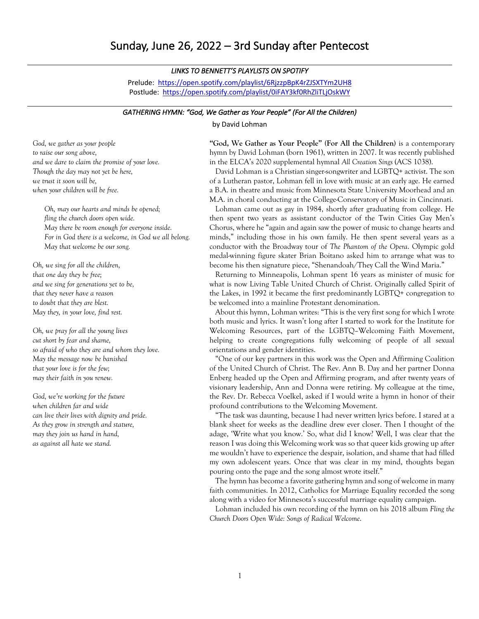# Sunday, June 26, 2022 – 3rd Sunday after Pentecost

## *LINKS TO BENNETT'S PLAYLISTS ON SPOTIFY*

Prelude: https://open.spotify.com/playlist/6RjzzpBpK4rZJSXTYm2UH8 Postlude: https://open.spotify.com/playlist/0iFAY3kf0RhZliTLjOskWY

#### *GATHERING HYMN: "God, We Gather as Your People" (For All the Children)*

by David Lohman

*God, we gather as your people to raise our song above, and we dare to claim the promise of your love. Though the day may not yet be here, we trust it soon will be, when your children will be free.*

 *Oh, may our hearts and minds be opened; fling the church doors open wide. May there be room enough for everyone inside. For in God there is a welcome, in God we all belong. May that welcome be our song.*

*Oh, we sing for all the children, that one day they be free; and we sing for generations yet to be, that they never have a reason to doubt that they are blest. May they, in your love, find rest.*

*Oh, we pray for all the young lives cut short by fear and shame, so afraid of who they are and whom they love. May the message now be banished that your love is for the few; may their faith in you renew.*

*God, we're working for the future when children far and wide can live their lives with dignity and pride. As they grow in strength and stature, may they join us hand in hand, as against all hate we stand.*

**"God, We Gather as Your People" (For All the Children)** is a contemporary hymn by David Lohman (born 1961), written in 2007. It was recently published in the ELCA's 2020 supplemental hymnal *All Creation Sings* (ACS 1038).

 David Lohman is a Christian singer-songwriter and LGBTQ+ activist. The son of a Lutheran pastor, Lohman fell in love with music at an early age. He earned a B.A. in theatre and music from Minnesota State University Moorhead and an M.A. in choral conducting at the College-Conservatory of Music in Cincinnati.

 Lohman came out as gay in 1984, shortly after graduating from college. He then spent two years as assistant conductor of the Twin Cities Gay Men's Chorus, where he "again and again saw the power of music to change hearts and minds," including those in his own family. He then spent several years as a conductor with the Broadway tour of *The Phantom of the Opera*. Olympic gold medal-winning figure skater Brian Boitano asked him to arrange what was to become his then signature piece, "Shenandoah/They Call the Wind Maria."

 Returning to Minneapolis, Lohman spent 16 years as minister of music for what is now Living Table United Church of Christ. Originally called Spirit of the Lakes, in 1992 it became the first predominantly LGBTQ+ congregation to be welcomed into a mainline Protestant denomination.

 About this hymn, Lohman writes: "This is the very first song for which I wrote both music and lyrics. It wasn't long after I started to work for the Institute for Welcoming Resources, part of the LGBTQ–Welcoming Faith Movement, helping to create congregations fully welcoming of people of all sexual orientations and gender identities.

 "One of our key partners in this work was the Open and Affirming Coalition of the United Church of Christ. The Rev. Ann B. Day and her partner Donna Enberg headed up the Open and Affirming program, and after twenty years of visionary leadership, Ann and Donna were retiring. My colleague at the time, the Rev. Dr. Rebecca Voelkel, asked if I would write a hymn in honor of their profound contributions to the Welcoming Movement.

 "The task was daunting, because I had never written lyrics before. I stared at a blank sheet for weeks as the deadline drew ever closer. Then I thought of the adage, 'Write what you know.' So, what did I know? Well, I was clear that the reason I was doing this Welcoming work was so that queer kids growing up after me wouldn't have to experience the despair, isolation, and shame that had filled my own adolescent years. Once that was clear in my mind, thoughts began pouring onto the page and the song almost wrote itself."

 The hymn has become a favorite gathering hymn and song of welcome in many faith communities. In 2012, Catholics for Marriage Equality recorded the song along with a video for Minnesota's successful marriage equality campaign.

 Lohman included his own recording of the hymn on his 2018 album *Fling the Church Doors Open Wide: Songs of Radical Welcome*.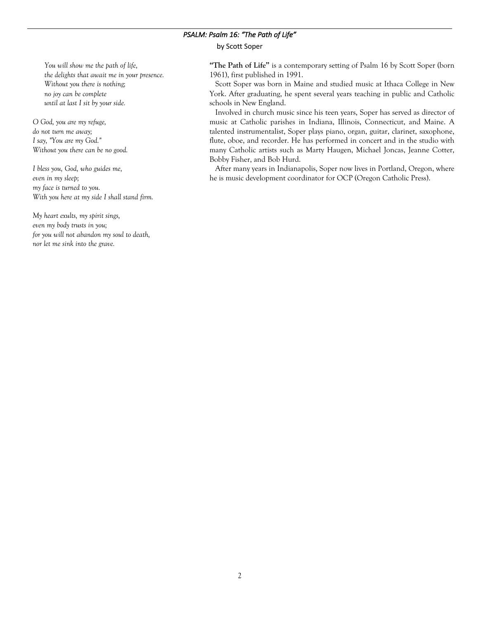## *PSALM: Psalm 16: "The Path of Life"*

by Scott Soper

 *You will show me the path of life, the delights that await me in your presence. Without you there is nothing; no joy can be complete until at last I sit by your side.*

*O God, you are my refuge, do not turn me away; I say, "You are my God." Without you there can be no good.*

*I bless you, God, who guides me, even in my sleep; my face is turned to you. With you here at my side I shall stand firm.*

*My heart exults, my spirit sings, even my body trusts in you; for you will not abandon my soul to death, nor let me sink into the grave.*

**"The Path of Life"** is a contemporary setting of Psalm 16 by Scott Soper (born 1961), first published in 1991.

 Scott Soper was born in Maine and studied music at Ithaca College in New York. After graduating, he spent several years teaching in public and Catholic schools in New England.

 Involved in church music since his teen years, Soper has served as director of music at Catholic parishes in Indiana, Illinois, Connecticut, and Maine. A talented instrumentalist, Soper plays piano, organ, guitar, clarinet, saxophone, flute, oboe, and recorder. He has performed in concert and in the studio with many Catholic artists such as Marty Haugen, Michael Joncas, Jeanne Cotter, Bobby Fisher, and Bob Hurd.

 After many years in Indianapolis, Soper now lives in Portland, Oregon, where he is music development coordinator for OCP (Oregon Catholic Press).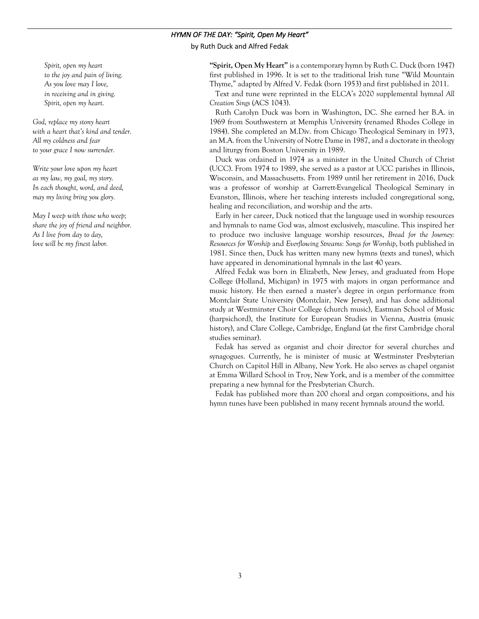### *HYMN OF THE DAY: "Spirit, Open My Heart"*

by Ruth Duck and Alfred Fedak

**"Spirit, Open My Heart"** is a contemporary hymn by Ruth C. Duck (born 1947) first published in 1996. It is set to the traditional Irish tune "Wild Mountain Thyme," adapted by Alfred V. Fedak (born 1953) and first published in 2011.

 Text and tune were reprinted in the ELCA's 2020 supplemental hymnal *All Creation Sings* (ACS 1043).

 Ruth Carolyn Duck was born in Washington, DC. She earned her B.A. in 1969 from Southwestern at Memphis University (renamed Rhodes College in 1984). She completed an M.Div. from Chicago Theological Seminary in 1973, an M.A. from the University of Notre Dame in 1987, and a doctorate in theology and liturgy from Boston University in 1989.

 Duck was ordained in 1974 as a minister in the United Church of Christ (UCC). From 1974 to 1989, she served as a pastor at UCC parishes in Illinois, Wisconsin, and Massachusetts. From 1989 until her retirement in 2016, Duck was a professor of worship at Garrett-Evangelical Theological Seminary in Evanston, Illinois, where her teaching interests included congregational song, healing and reconciliation, and worship and the arts.

 Early in her career, Duck noticed that the language used in worship resources and hymnals to name God was, almost exclusively, masculine. This inspired her to produce two inclusive language worship resources, *Bread for the Journey: Resources for Worship* and *Everflowing Streams: Songs for Worship*, both published in 1981. Since then, Duck has written many new hymns (texts and tunes), which have appeared in denominational hymnals in the last 40 years.

 Alfred Fedak was born in Elizabeth, New Jersey, and graduated from Hope College (Holland, Michigan) in 1975 with majors in organ performance and music history. He then earned a master's degree in organ performance from Montclair State University (Montclair, New Jersey), and has done additional study at Westminster Choir College (church music), Eastman School of Music (harpsichord), the Institute for European Studies in Vienna, Austria (music history), and Clare College, Cambridge, England (at the first Cambridge choral studies seminar).

 Fedak has served as organist and choir director for several churches and synagogues. Currently, he is minister of music at Westminster Presbyterian Church on Capitol Hill in Albany, New York. He also serves as chapel organist at Emma Willard School in Troy, New York, and is a member of the committee preparing a new hymnal for the Presbyterian Church.

 Fedak has published more than 200 choral and organ compositions, and his hymn tunes have been published in many recent hymnals around the world.

 *Spirit, open my heart to the joy and pain of living. As you love may I love, in receiving and in giving. Spirit, open my heart.*

*God, replace my stony heart with a heart that's kind and tender. All my coldness and fear to your grace I now surrender.*

*Write your love upon my heart as my law, my goal, my story. In each thought, word, and deed, may my living bring you glory.*

*May I weep with those who weep; share the joy of friend and neighbor. As I live from day to day, love will be my finest labor.*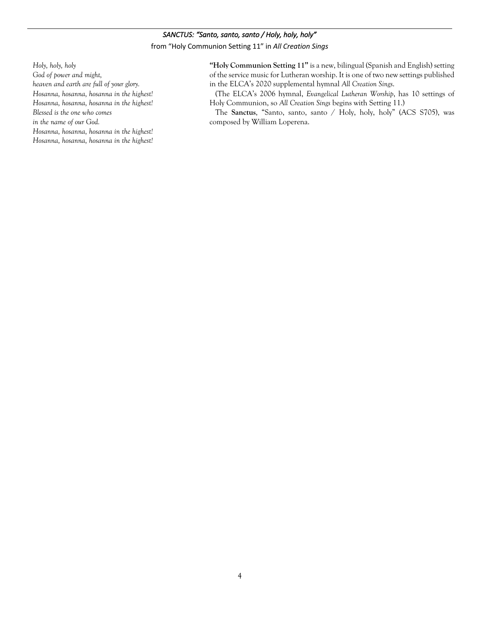## *SANCTUS: "Santo, santo, santo / Holy, holy, holy"*

from "Holy Communion Setting 11" in *All Creation Sings*

*Holy, holy, holy God of power and might, heaven and earth are full of your glory. Hosanna, hosanna, hosanna in the highest! Hosanna, hosanna, hosanna in the highest! Blessed is the one who comes in the name of our God. Hosanna, hosanna, hosanna in the highest! Hosanna, hosanna, hosanna in the highest!*

**"Holy Communion Setting 11"** is a new, bilingual (Spanish and English) setting of the service music for Lutheran worship. It is one of two new settings published in the ELCA's 2020 supplemental hymnal *All Creation Sings*.

 (The ELCA's 2006 hymnal, *Evangelical Lutheran Worship*, has 10 settings of Holy Communion, so *All Creation Sings* begins with Setting 11.)

 The **Sanctus**, "Santo, santo, santo / Holy, holy, holy" (ACS S705), was composed by William Loperena.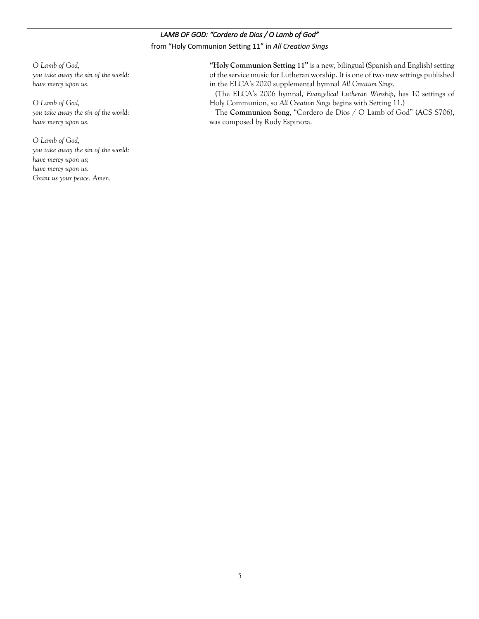# *LAMB OF GOD: "Cordero de Dios / O Lamb of God"*

from "Holy Communion Setting 11" in *All Creation Sings*

*O Lamb of God, you take away the sin of the world: have mercy upon us.*

*O Lamb of God, you take away the sin of the world: have mercy upon us.*

*O Lamb of God, you take away the sin of the world: have mercy upon us; have mercy upon us. Grant us your peace. Amen.*

**"Holy Communion Setting 11"** is a new, bilingual (Spanish and English) setting of the service music for Lutheran worship. It is one of two new settings published in the ELCA's 2020 supplemental hymnal *All Creation Sings*.

 (The ELCA's 2006 hymnal, *Evangelical Lutheran Worship*, has 10 settings of Holy Communion, so *All Creation Sings* begins with Setting 11.)

 The **Communion Song**, "Cordero de Dios / O Lamb of God" (ACS S706), was composed by Rudy Espinoza.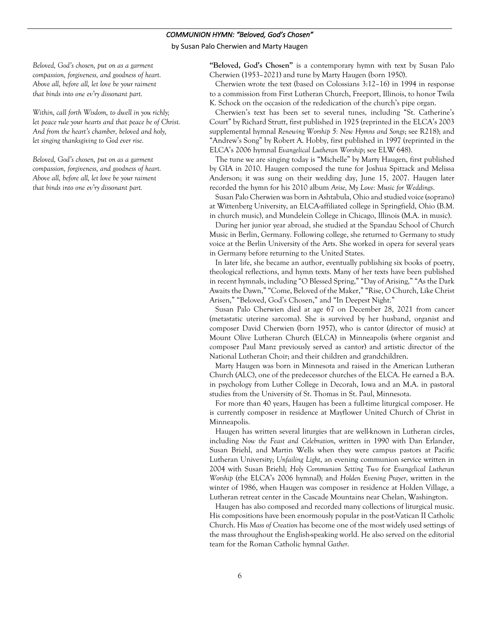#### *COMMUNION HYMN: "Beloved, God's Chosen"*

by Susan Palo Cherwien and Marty Haugen

*Beloved, God's chosen, put on as a garment compassion, forgiveness, and goodness of heart. Above all, before all, let love be your raiment that binds into one ev'ry dissonant part.*

*Within, call forth Wisdom, to dwell in you richly; let peace rule your hearts and that peace be of Christ. And from the heart's chamber, beloved and holy, let singing thanksgiving to God ever rise.*

*Beloved, God's chosen, put on as a garment compassion, forgiveness, and goodness of heart. Above all, before all, let love be your raiment that binds into one ev'ry dissonant part.*

**"Beloved, God's Chosen"** is a contemporary hymn with text by Susan Palo Cherwien (1953–2021) and tune by Marty Haugen (born 1950).

 Cherwien wrote the text (based on Colossians 3:12–16) in 1994 in response to a commission from First Lutheran Church, Freeport, Illinois, to honor Twila K. Schock on the occasion of the rededication of the church's pipe organ.

 Cherwien's text has been set to several tunes, including "St. Catherine's Court" by Richard Strutt, first published in 1925 (reprinted in the ELCA's 2003 supplemental hymnal *Renewing Worship 5: New Hymns and Songs*; see R218); and "Andrew's Song" by Robert A. Hobby, first published in 1997 (reprinted in the ELCA's 2006 hymnal *Evangelical Lutheran Worship*; see ELW 648).

 The tune we are singing today is "Michelle" by Marty Haugen, first published by GIA in 2010. Haugen composed the tune for Joshua Spitzack and Melissa Anderson; it was sung on their wedding day, June 15, 2007. Haugen later recorded the hymn for his 2010 album *Arise, My Love: Music for Weddings*.

 Susan Palo Cherwien was born in Ashtabula, Ohio and studied voice (soprano) at Wittenberg University, an ELCA-affiliated college in Springfield, Ohio (B.M. in church music), and Mundelein College in Chicago, Illinois (M.A. in music).

 During her junior year abroad, she studied at the Spandau School of Church Music in Berlin, Germany. Following college, she returned to Germany to study voice at the Berlin University of the Arts. She worked in opera for several years in Germany before returning to the United States.

 In later life, she became an author, eventually publishing six books of poetry, theological reflections, and hymn texts. Many of her texts have been published in recent hymnals, including "O Blessed Spring," "Day of Arising," "As the Dark Awaits the Dawn," "Come, Beloved of the Maker," "Rise, O Church, Like Christ Arisen," "Beloved, God's Chosen," and "In Deepest Night."

 Susan Palo Cherwien died at age 67 on December 28, 2021 from cancer (metastatic uterine sarcoma). She is survived by her husband, organist and composer David Cherwien (born 1957), who is cantor (director of music) at Mount Olive Lutheran Church (ELCA) in Minneapolis (where organist and composer Paul Manz previously served as cantor) and artistic director of the National Lutheran Choir; and their children and grandchildren.

 Marty Haugen was born in Minnesota and raised in the American Lutheran Church (ALC), one of the predecessor churches of the ELCA. He earned a B.A. in psychology from Luther College in Decorah, Iowa and an M.A. in pastoral studies from the University of St. Thomas in St. Paul, Minnesota.

 For more than 40 years, Haugen has been a full-time liturgical composer. He is currently composer in residence at Mayflower United Church of Christ in Minneapolis.

 Haugen has written several liturgies that are well-known in Lutheran circles, including *Now the Feast and Celebration*, written in 1990 with Dan Erlander, Susan Briehl, and Martin Wells when they were campus pastors at Pacific Lutheran University; *Unfailing Light*, an evening communion service written in 2004 with Susan Briehl; *Holy Communion Setting Two* for *Evangelical Lutheran Worship* (the ELCA's 2006 hymnal); and *Holden Evening Prayer*, written in the winter of 1986, when Haugen was composer in residence at Holden Village, a Lutheran retreat center in the Cascade Mountains near Chelan, Washington.

 Haugen has also composed and recorded many collections of liturgical music. His compositions have been enormously popular in the post-Vatican II Catholic Church. His *Mass of Creation* has become one of the most widely used settings of the mass throughout the English-speaking world. He also served on the editorial team for the Roman Catholic hymnal *Gather*.